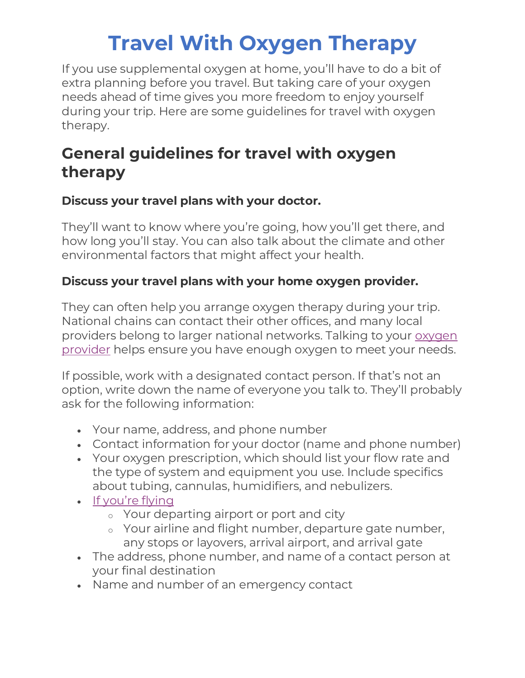If you use supplemental oxygen at home, you'll have to do a bit of extra planning before you travel. But taking care of your oxygen needs ahead of time gives you more freedom to enjoy yourself during your trip. Here are some guidelines for travel with oxygen therapy.

### **General guidelines for travel with oxygen therapy**

### **Discuss your travel plans with your doctor.**

They'll want to know where you're going, how you'll get there, and how long you'll stay. You can also talk about the climate and other environmental factors that might affect your health.

### **Discuss your travel plans with your home oxygen provider.**

They can often help you arrange oxygen therapy during your trip. National chains can contact their other offices, and many local providers belong to larger national networks. Talking to your [oxygen](https://www.alphanet.org/living-with-alpha-1/choosing-an-oxygen-delivery-system/)  [provider](https://www.alphanet.org/living-with-alpha-1/choosing-an-oxygen-delivery-system/) helps ensure you have enough oxygen to meet your needs.

If possible, work with a designated contact person. If that's not an option, write down the name of everyone you talk to. They'll probably ask for the following information:

- Your name, address, and phone number
- Contact information for your doctor (name and phone number)
- Your oxygen prescription, which should list your flow rate and the type of system and equipment you use. Include specifics about tubing, cannulas, humidifiers, and nebulizers.
- [If you're flying](http://www.alphanet.org/living-with-alpha-1/traveling-with-alpha-1/air-travel/)
	- <sup>o</sup> Your departing airport or port and city
	- <sup>o</sup> Your airline and flight number, departure gate number, any stops or layovers, arrival airport, and arrival gate
- The address, phone number, and name of a contact person at your final destination
- Name and number of an emergency contact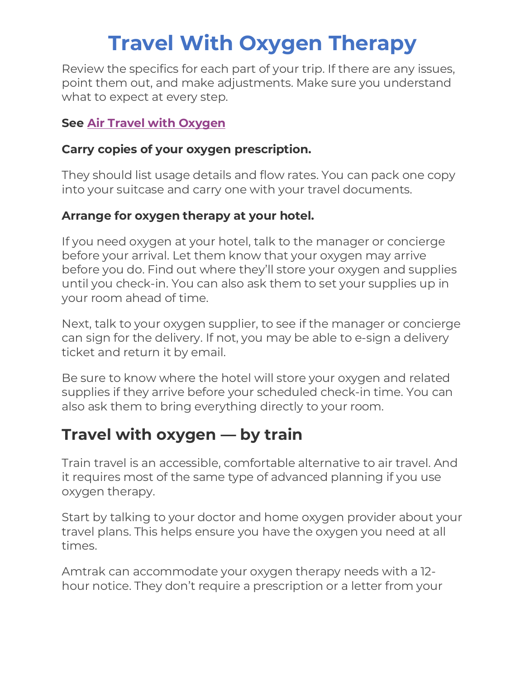Review the specifics for each part of your trip. If there are any issues, point them out, and make adjustments. Make sure you understand what to expect at every step.

### **See [Air Travel with Oxygen](https://www.alphanet.org/living-with-alpha-1/traveling-with-alpha-1/air-travel/)**

#### **Carry copies of your oxygen prescription.**

They should list usage details and flow rates. You can pack one copy into your suitcase and carry one with your travel documents.

### **Arrange for oxygen therapy at your hotel.**

If you need oxygen at your hotel, talk to the manager or concierge before your arrival. Let them know that your oxygen may arrive before you do. Find out where they'll store your oxygen and supplies until you check-in. You can also ask them to set your supplies up in your room ahead of time.

Next, talk to your oxygen supplier, to see if the manager or concierge can sign for the delivery. If not, you may be able to e-sign a delivery ticket and return it by email.

Be sure to know where the hotel will store your oxygen and related supplies if they arrive before your scheduled check-in time. You can also ask them to bring everything directly to your room.

### **Travel with oxygen — by train**

Train travel is an accessible, comfortable alternative to air travel. And it requires most of the same type of advanced planning if you use oxygen therapy.

Start by talking to your doctor and home oxygen provider about your travel plans. This helps ensure you have the oxygen you need at all times.

Amtrak can accommodate your oxygen therapy needs with a 12 hour notice. They don't require a prescription or a letter from your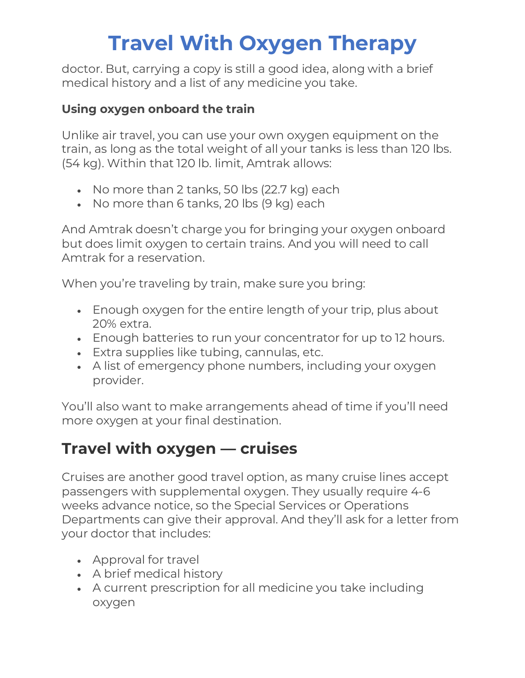doctor. But, carrying a copy is still a good idea, along with a brief medical history and a list of any medicine you take.

### **Using oxygen onboard the train**

Unlike air travel, you can use your own oxygen equipment on the train, as long as the total weight of all your tanks is less than 120 lbs. (54 kg). Within that 120 lb. limit, Amtrak allows:

- No more than 2 tanks, 50 lbs (22.7 kg) each
- No more than 6 tanks, 20 lbs (9 kg) each

And Amtrak doesn't charge you for bringing your oxygen onboard but does limit oxygen to certain trains. And you will need to call Amtrak for a reservation.

When you're traveling by train, make sure you bring:

- Enough oxygen for the entire length of your trip, plus about 20% extra.
- Enough batteries to run your concentrator for up to 12 hours.
- Extra supplies like tubing, cannulas, etc.
- A list of emergency phone numbers, including your oxygen provider.

You'll also want to make arrangements ahead of time if you'll need more oxygen at your final destination.

## **Travel with oxygen — cruises**

Cruises are another good travel option, as many cruise lines accept passengers with supplemental oxygen. They usually require 4-6 weeks advance notice, so the Special Services or Operations Departments can give their approval. And they'll ask for a letter from your doctor that includes:

- Approval for travel
- A brief medical history
- A current prescription for all medicine you take including oxygen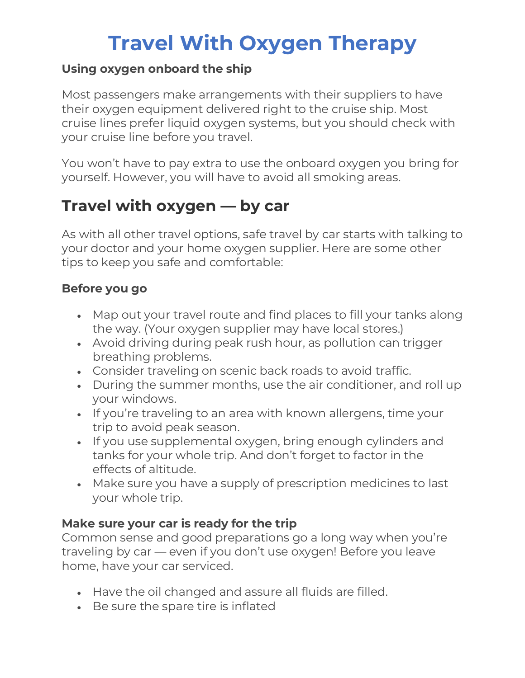### **Using oxygen onboard the ship**

Most passengers make arrangements with their suppliers to have their oxygen equipment delivered right to the cruise ship. Most cruise lines prefer liquid oxygen systems, but you should check with your cruise line before you travel.

You won't have to pay extra to use the onboard oxygen you bring for yourself. However, you will have to avoid all smoking areas.

### **Travel with oxygen — by car**

As with all other travel options, safe travel by car starts with talking to your doctor and your home oxygen supplier. Here are some other tips to keep you safe and comfortable:

### **Before you go**

- Map out your travel route and find places to fill your tanks along the way. (Your oxygen supplier may have local stores.)
- Avoid driving during peak rush hour, as pollution can trigger breathing problems.
- Consider traveling on scenic back roads to avoid traffic.
- During the summer months, use the air conditioner, and roll up your windows.
- If you're traveling to an area with known allergens, time your trip to avoid peak season.
- If you use supplemental oxygen, bring enough cylinders and tanks for your whole trip. And don't forget to factor in the effects of altitude.
- Make sure you have a supply of prescription medicines to last your whole trip.

### **Make sure your car is ready for the trip**

Common sense and good preparations go a long way when you're traveling by car — even if you don't use oxygen! Before you leave home, have your car serviced.

- Have the oil changed and assure all fluids are filled.
- Be sure the spare tire is inflated